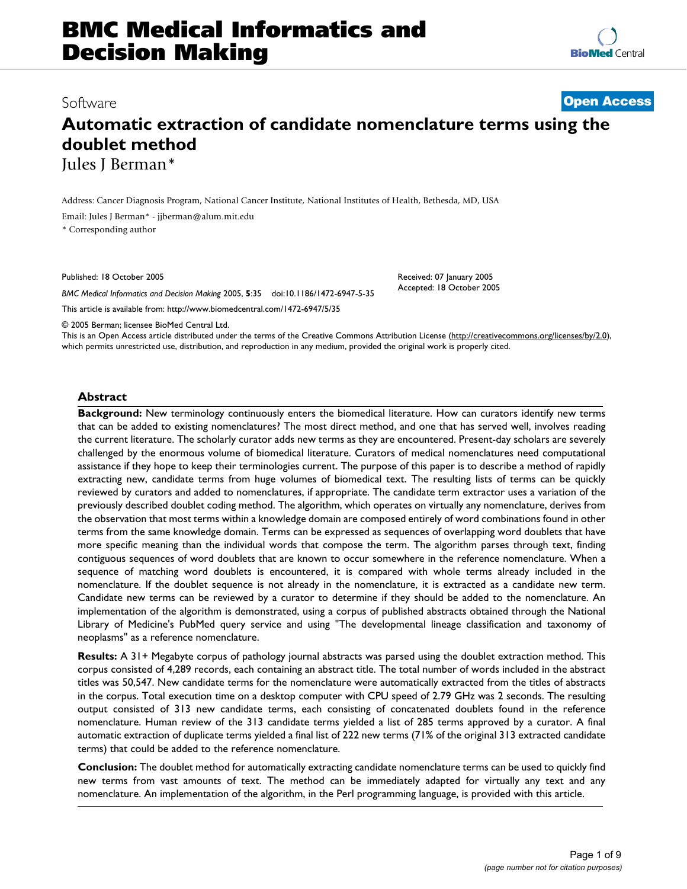# **BMC Medical Informatics and Decision Making**

**[BioMed](http://www.biomedcentral.com/)** Central

## Software **[Open Access](http://www.biomedcentral.com/info/about/charter/)**

## **Automatic extraction of candidate nomenclature terms using the doublet method** Jules J Berman\*

Address: Cancer Diagnosis Program, National Cancer Institute, National Institutes of Health, Bethesda, MD, USA

Email: Jules J Berman\* - jjberman@alum.mit.edu

\* Corresponding author

Published: 18 October 2005

*BMC Medical Informatics and Decision Making* 2005, **5**:35 doi:10.1186/1472-6947-5-35

[This article is available from: http://www.biomedcentral.com/1472-6947/5/35](http://www.biomedcentral.com/1472-6947/5/35)

© 2005 Berman; licensee BioMed Central Ltd.

This is an Open Access article distributed under the terms of the Creative Commons Attribution License [\(http://creativecommons.org/licenses/by/2.0\)](http://creativecommons.org/licenses/by/2.0), which permits unrestricted use, distribution, and reproduction in any medium, provided the original work is properly cited.

Received: 07 January 2005 Accepted: 18 October 2005

#### **Abstract**

**Background:** New terminology continuously enters the biomedical literature. How can curators identify new terms that can be added to existing nomenclatures? The most direct method, and one that has served well, involves reading the current literature. The scholarly curator adds new terms as they are encountered. Present-day scholars are severely challenged by the enormous volume of biomedical literature. Curators of medical nomenclatures need computational assistance if they hope to keep their terminologies current. The purpose of this paper is to describe a method of rapidly extracting new, candidate terms from huge volumes of biomedical text. The resulting lists of terms can be quickly reviewed by curators and added to nomenclatures, if appropriate. The candidate term extractor uses a variation of the previously described doublet coding method. The algorithm, which operates on virtually any nomenclature, derives from the observation that most terms within a knowledge domain are composed entirely of word combinations found in other terms from the same knowledge domain. Terms can be expressed as sequences of overlapping word doublets that have more specific meaning than the individual words that compose the term. The algorithm parses through text, finding contiguous sequences of word doublets that are known to occur somewhere in the reference nomenclature. When a sequence of matching word doublets is encountered, it is compared with whole terms already included in the nomenclature. If the doublet sequence is not already in the nomenclature, it is extracted as a candidate new term. Candidate new terms can be reviewed by a curator to determine if they should be added to the nomenclature. An implementation of the algorithm is demonstrated, using a corpus of published abstracts obtained through the National Library of Medicine's PubMed query service and using "The developmental lineage classification and taxonomy of neoplasms" as a reference nomenclature.

**Results:** A 31+ Megabyte corpus of pathology journal abstracts was parsed using the doublet extraction method. This corpus consisted of 4,289 records, each containing an abstract title. The total number of words included in the abstract titles was 50,547. New candidate terms for the nomenclature were automatically extracted from the titles of abstracts in the corpus. Total execution time on a desktop computer with CPU speed of 2.79 GHz was 2 seconds. The resulting output consisted of 313 new candidate terms, each consisting of concatenated doublets found in the reference nomenclature. Human review of the 313 candidate terms yielded a list of 285 terms approved by a curator. A final automatic extraction of duplicate terms yielded a final list of 222 new terms (71% of the original 313 extracted candidate terms) that could be added to the reference nomenclature.

**Conclusion:** The doublet method for automatically extracting candidate nomenclature terms can be used to quickly find new terms from vast amounts of text. The method can be immediately adapted for virtually any text and any nomenclature. An implementation of the algorithm, in the Perl programming language, is provided with this article.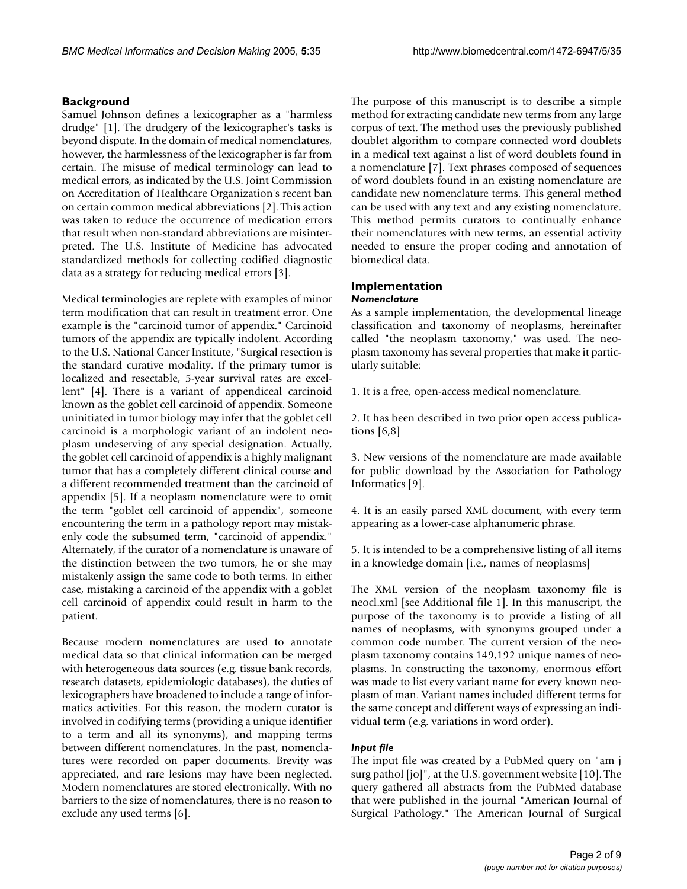#### **Background**

Samuel Johnson defines a lexicographer as a "harmless drudge" [1]. The drudgery of the lexicographer's tasks is beyond dispute. In the domain of medical nomenclatures, however, the harmlessness of the lexicographer is far from certain. The misuse of medical terminology can lead to medical errors, as indicated by the U.S. Joint Commission on Accreditation of Healthcare Organization's recent ban on certain common medical abbreviations [2]. This action was taken to reduce the occurrence of medication errors that result when non-standard abbreviations are misinterpreted. The U.S. Institute of Medicine has advocated standardized methods for collecting codified diagnostic data as a strategy for reducing medical errors [3].

Medical terminologies are replete with examples of minor term modification that can result in treatment error. One example is the "carcinoid tumor of appendix." Carcinoid tumors of the appendix are typically indolent. According to the U.S. National Cancer Institute, "Surgical resection is the standard curative modality. If the primary tumor is localized and resectable, 5-year survival rates are excellent" [4]. There is a variant of appendiceal carcinoid known as the goblet cell carcinoid of appendix. Someone uninitiated in tumor biology may infer that the goblet cell carcinoid is a morphologic variant of an indolent neoplasm undeserving of any special designation. Actually, the goblet cell carcinoid of appendix is a highly malignant tumor that has a completely different clinical course and a different recommended treatment than the carcinoid of appendix [5]. If a neoplasm nomenclature were to omit the term "goblet cell carcinoid of appendix", someone encountering the term in a pathology report may mistakenly code the subsumed term, "carcinoid of appendix." Alternately, if the curator of a nomenclature is unaware of the distinction between the two tumors, he or she may mistakenly assign the same code to both terms. In either case, mistaking a carcinoid of the appendix with a goblet cell carcinoid of appendix could result in harm to the patient.

Because modern nomenclatures are used to annotate medical data so that clinical information can be merged with heterogeneous data sources (e.g. tissue bank records, research datasets, epidemiologic databases), the duties of lexicographers have broadened to include a range of informatics activities. For this reason, the modern curator is involved in codifying terms (providing a unique identifier to a term and all its synonyms), and mapping terms between different nomenclatures. In the past, nomenclatures were recorded on paper documents. Brevity was appreciated, and rare lesions may have been neglected. Modern nomenclatures are stored electronically. With no barriers to the size of nomenclatures, there is no reason to exclude any used terms [6].

The purpose of this manuscript is to describe a simple method for extracting candidate new terms from any large corpus of text. The method uses the previously published doublet algorithm to compare connected word doublets in a medical text against a list of word doublets found in a nomenclature [7]. Text phrases composed of sequences of word doublets found in an existing nomenclature are candidate new nomenclature terms. This general method can be used with any text and any existing nomenclature. This method permits curators to continually enhance their nomenclatures with new terms, an essential activity needed to ensure the proper coding and annotation of biomedical data.

#### **Implementation** *Nomenclature*

As a sample implementation, the developmental lineage classification and taxonomy of neoplasms, hereinafter called "the neoplasm taxonomy," was used. The neoplasm taxonomy has several properties that make it particularly suitable:

1. It is a free, open-access medical nomenclature.

2. It has been described in two prior open access publications [6,8]

3. New versions of the nomenclature are made available for public download by the Association for Pathology Informatics [9].

4. It is an easily parsed XML document, with every term appearing as a lower-case alphanumeric phrase.

5. It is intended to be a comprehensive listing of all items in a knowledge domain [i.e., names of neoplasms]

The XML version of the neoplasm taxonomy file is neocl.xml [see Additional file 1]. In this manuscript, the purpose of the taxonomy is to provide a listing of all names of neoplasms, with synonyms grouped under a common code number. The current version of the neoplasm taxonomy contains 149,192 unique names of neoplasms. In constructing the taxonomy, enormous effort was made to list every variant name for every known neoplasm of man. Variant names included different terms for the same concept and different ways of expressing an individual term (e.g. variations in word order).

#### *Input file*

The input file was created by a PubMed query on "am j surg pathol [jo]", at the U.S. government website [10]. The query gathered all abstracts from the PubMed database that were published in the journal "American Journal of Surgical Pathology." The American Journal of Surgical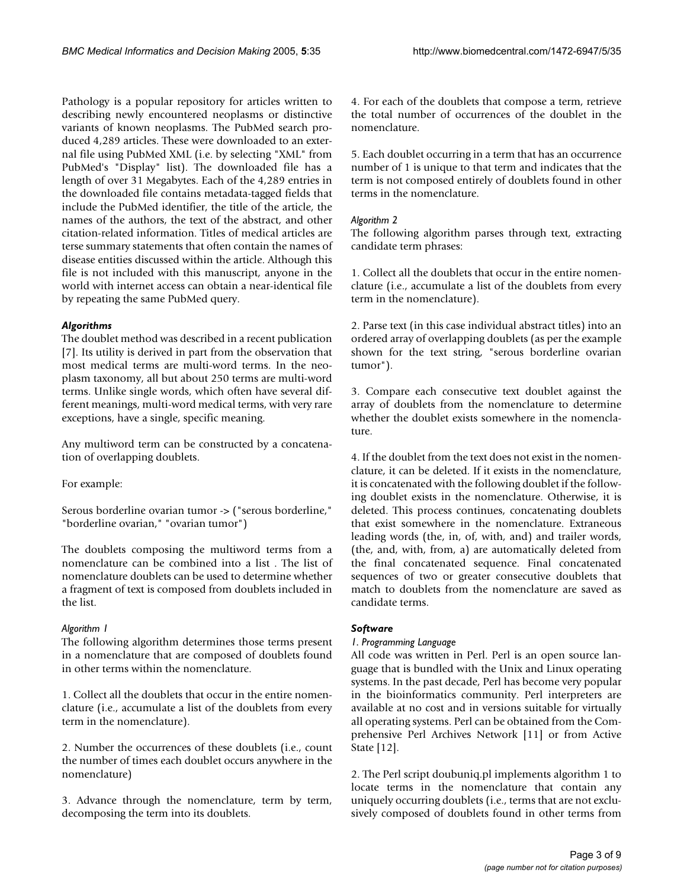Pathology is a popular repository for articles written to describing newly encountered neoplasms or distinctive variants of known neoplasms. The PubMed search produced 4,289 articles. These were downloaded to an external file using PubMed XML (i.e. by selecting "XML" from PubMed's "Display" list). The downloaded file has a length of over 31 Megabytes. Each of the 4,289 entries in the downloaded file contains metadata-tagged fields that include the PubMed identifier, the title of the article, the names of the authors, the text of the abstract, and other citation-related information. Titles of medical articles are terse summary statements that often contain the names of disease entities discussed within the article. Although this file is not included with this manuscript, anyone in the world with internet access can obtain a near-identical file by repeating the same PubMed query.

#### *Algorithms*

The doublet method was described in a recent publication [7]. Its utility is derived in part from the observation that most medical terms are multi-word terms. In the neoplasm taxonomy, all but about 250 terms are multi-word terms. Unlike single words, which often have several different meanings, multi-word medical terms, with very rare exceptions, have a single, specific meaning.

Any multiword term can be constructed by a concatenation of overlapping doublets.

For example:

Serous borderline ovarian tumor -> ("serous borderline," "borderline ovarian," "ovarian tumor")

The doublets composing the multiword terms from a nomenclature can be combined into a list . The list of nomenclature doublets can be used to determine whether a fragment of text is composed from doublets included in the list.

## *Algorithm 1*

The following algorithm determines those terms present in a nomenclature that are composed of doublets found in other terms within the nomenclature.

1. Collect all the doublets that occur in the entire nomenclature (i.e., accumulate a list of the doublets from every term in the nomenclature).

2. Number the occurrences of these doublets (i.e., count the number of times each doublet occurs anywhere in the nomenclature)

3. Advance through the nomenclature, term by term, decomposing the term into its doublets.

4. For each of the doublets that compose a term, retrieve the total number of occurrences of the doublet in the nomenclature.

5. Each doublet occurring in a term that has an occurrence number of 1 is unique to that term and indicates that the term is not composed entirely of doublets found in other terms in the nomenclature.

## *Algorithm 2*

The following algorithm parses through text, extracting candidate term phrases:

1. Collect all the doublets that occur in the entire nomenclature (i.e., accumulate a list of the doublets from every term in the nomenclature).

2. Parse text (in this case individual abstract titles) into an ordered array of overlapping doublets (as per the example shown for the text string, "serous borderline ovarian tumor").

3. Compare each consecutive text doublet against the array of doublets from the nomenclature to determine whether the doublet exists somewhere in the nomenclature.

4. If the doublet from the text does not exist in the nomenclature, it can be deleted. If it exists in the nomenclature, it is concatenated with the following doublet if the following doublet exists in the nomenclature. Otherwise, it is deleted. This process continues, concatenating doublets that exist somewhere in the nomenclature. Extraneous leading words (the, in, of, with, and) and trailer words, (the, and, with, from, a) are automatically deleted from the final concatenated sequence. Final concatenated sequences of two or greater consecutive doublets that match to doublets from the nomenclature are saved as candidate terms.

#### *Software*

#### *1. Programming Language*

All code was written in Perl. Perl is an open source language that is bundled with the Unix and Linux operating systems. In the past decade, Perl has become very popular in the bioinformatics community. Perl interpreters are available at no cost and in versions suitable for virtually all operating systems. Perl can be obtained from the Comprehensive Perl Archives Network [11] or from Active State [12].

2. The Perl script doubuniq.pl implements algorithm 1 to locate terms in the nomenclature that contain any uniquely occurring doublets (i.e., terms that are not exclusively composed of doublets found in other terms from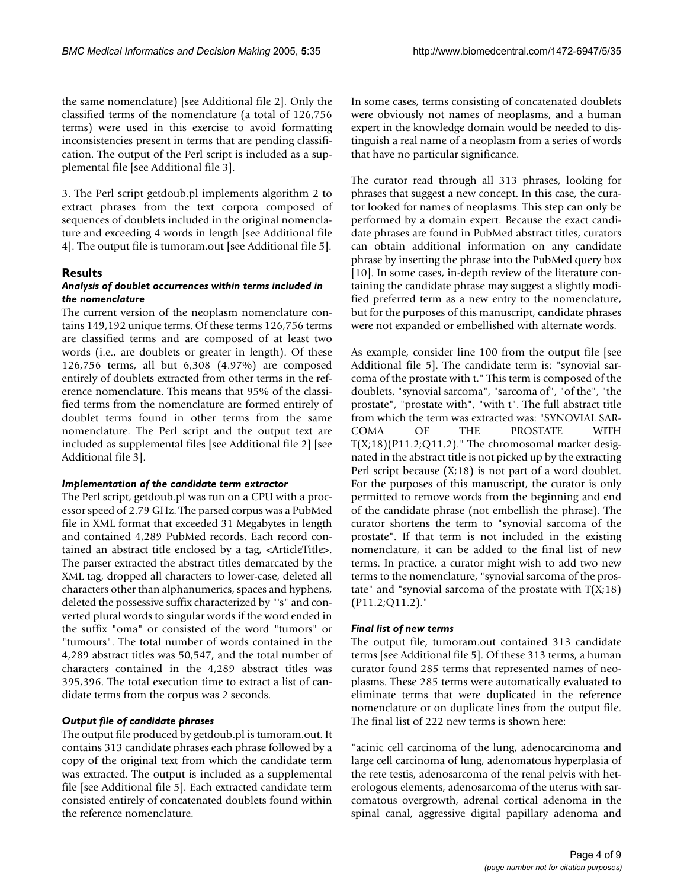the same nomenclature) [see Additional file 2]. Only the classified terms of the nomenclature (a total of 126,756 terms) were used in this exercise to avoid formatting inconsistencies present in terms that are pending classification. The output of the Perl script is included as a supplemental file [see Additional file 3].

3. The Perl script getdoub.pl implements algorithm 2 to extract phrases from the text corpora composed of sequences of doublets included in the original nomenclature and exceeding 4 words in length [see Additional file 4]. The output file is tumoram.out [see Additional file 5].

#### **Results**

#### *Analysis of doublet occurrences within terms included in the nomenclature*

The current version of the neoplasm nomenclature contains 149,192 unique terms. Of these terms 126,756 terms are classified terms and are composed of at least two words (i.e., are doublets or greater in length). Of these 126,756 terms, all but 6,308 (4.97%) are composed entirely of doublets extracted from other terms in the reference nomenclature. This means that 95% of the classified terms from the nomenclature are formed entirely of doublet terms found in other terms from the same nomenclature. The Perl script and the output text are included as supplemental files [see Additional file 2] [see Additional file 3].

#### *Implementation of the candidate term extractor*

The Perl script, getdoub.pl was run on a CPU with a processor speed of 2.79 GHz. The parsed corpus was a PubMed file in XML format that exceeded 31 Megabytes in length and contained 4,289 PubMed records. Each record contained an abstract title enclosed by a tag, <ArticleTitle>. The parser extracted the abstract titles demarcated by the XML tag, dropped all characters to lower-case, deleted all characters other than alphanumerics, spaces and hyphens, deleted the possessive suffix characterized by "'s" and converted plural words to singular words if the word ended in the suffix "oma" or consisted of the word "tumors" or "tumours". The total number of words contained in the 4,289 abstract titles was 50,547, and the total number of characters contained in the 4,289 abstract titles was 395,396. The total execution time to extract a list of candidate terms from the corpus was 2 seconds.

## *Output file of candidate phrases*

The output file produced by getdoub.pl is tumoram.out. It contains 313 candidate phrases each phrase followed by a copy of the original text from which the candidate term was extracted. The output is included as a supplemental file [see Additional file 5]. Each extracted candidate term consisted entirely of concatenated doublets found within the reference nomenclature.

In some cases, terms consisting of concatenated doublets were obviously not names of neoplasms, and a human expert in the knowledge domain would be needed to distinguish a real name of a neoplasm from a series of words that have no particular significance.

The curator read through all 313 phrases, looking for phrases that suggest a new concept. In this case, the curator looked for names of neoplasms. This step can only be performed by a domain expert. Because the exact candidate phrases are found in PubMed abstract titles, curators can obtain additional information on any candidate phrase by inserting the phrase into the PubMed query box [10]. In some cases, in-depth review of the literature containing the candidate phrase may suggest a slightly modified preferred term as a new entry to the nomenclature, but for the purposes of this manuscript, candidate phrases were not expanded or embellished with alternate words.

As example, consider line 100 from the output file [see Additional file 5]. The candidate term is: "synovial sarcoma of the prostate with t." This term is composed of the doublets, "synovial sarcoma", "sarcoma of", "of the", "the prostate", "prostate with", "with t". The full abstract title from which the term was extracted was: "SYNOVIAL SAR-COMA OF THE PROSTATE WITH  $T(X;18)(P11.2;Q11.2)$ ." The chromosomal marker designated in the abstract title is not picked up by the extracting Perl script because (X;18) is not part of a word doublet. For the purposes of this manuscript, the curator is only permitted to remove words from the beginning and end of the candidate phrase (not embellish the phrase). The curator shortens the term to "synovial sarcoma of the prostate". If that term is not included in the existing nomenclature, it can be added to the final list of new terms. In practice, a curator might wish to add two new terms to the nomenclature, "synovial sarcoma of the prostate" and "synovial sarcoma of the prostate with  $T(X;18)$ (P11.2;Q11.2)."

#### *Final list of new terms*

The output file, tumoram.out contained 313 candidate terms [see Additional file 5]. Of these 313 terms, a human curator found 285 terms that represented names of neoplasms. These 285 terms were automatically evaluated to eliminate terms that were duplicated in the reference nomenclature or on duplicate lines from the output file. The final list of 222 new terms is shown here:

"acinic cell carcinoma of the lung, adenocarcinoma and large cell carcinoma of lung, adenomatous hyperplasia of the rete testis, adenosarcoma of the renal pelvis with heterologous elements, adenosarcoma of the uterus with sarcomatous overgrowth, adrenal cortical adenoma in the spinal canal, aggressive digital papillary adenoma and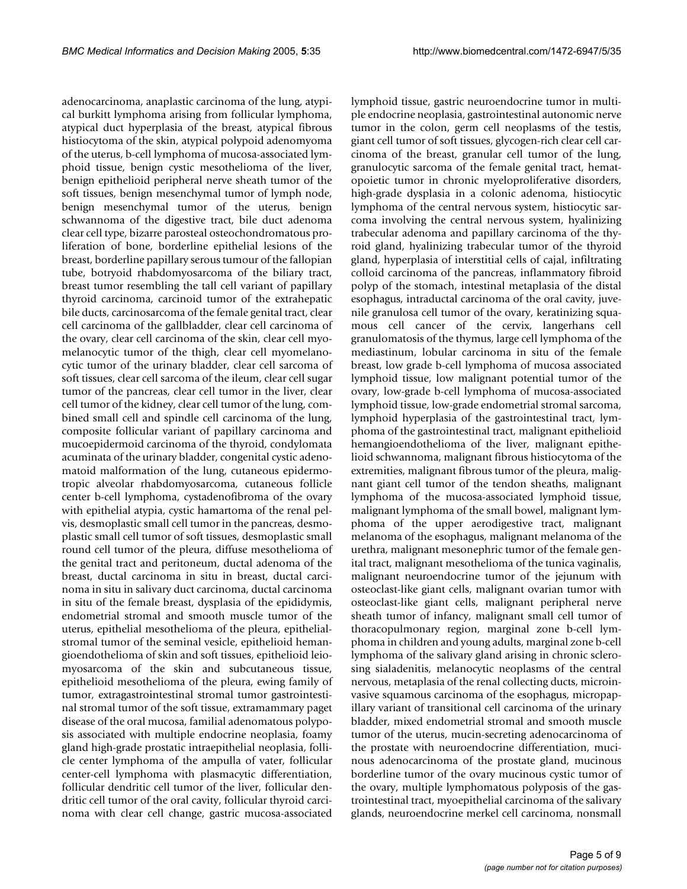adenocarcinoma, anaplastic carcinoma of the lung, atypical burkitt lymphoma arising from follicular lymphoma, atypical duct hyperplasia of the breast, atypical fibrous histiocytoma of the skin, atypical polypoid adenomyoma of the uterus, b-cell lymphoma of mucosa-associated lymphoid tissue, benign cystic mesothelioma of the liver, benign epithelioid peripheral nerve sheath tumor of the soft tissues, benign mesenchymal tumor of lymph node, benign mesenchymal tumor of the uterus, benign schwannoma of the digestive tract, bile duct adenoma clear cell type, bizarre parosteal osteochondromatous proliferation of bone, borderline epithelial lesions of the breast, borderline papillary serous tumour of the fallopian tube, botryoid rhabdomyosarcoma of the biliary tract, breast tumor resembling the tall cell variant of papillary thyroid carcinoma, carcinoid tumor of the extrahepatic bile ducts, carcinosarcoma of the female genital tract, clear cell carcinoma of the gallbladder, clear cell carcinoma of the ovary, clear cell carcinoma of the skin, clear cell myomelanocytic tumor of the thigh, clear cell myomelanocytic tumor of the urinary bladder, clear cell sarcoma of soft tissues, clear cell sarcoma of the ileum, clear cell sugar tumor of the pancreas, clear cell tumor in the liver, clear cell tumor of the kidney, clear cell tumor of the lung, combined small cell and spindle cell carcinoma of the lung, composite follicular variant of papillary carcinoma and mucoepidermoid carcinoma of the thyroid, condylomata acuminata of the urinary bladder, congenital cystic adenomatoid malformation of the lung, cutaneous epidermotropic alveolar rhabdomyosarcoma, cutaneous follicle center b-cell lymphoma, cystadenofibroma of the ovary with epithelial atypia, cystic hamartoma of the renal pelvis, desmoplastic small cell tumor in the pancreas, desmoplastic small cell tumor of soft tissues, desmoplastic small round cell tumor of the pleura, diffuse mesothelioma of the genital tract and peritoneum, ductal adenoma of the breast, ductal carcinoma in situ in breast, ductal carcinoma in situ in salivary duct carcinoma, ductal carcinoma in situ of the female breast, dysplasia of the epididymis, endometrial stromal and smooth muscle tumor of the uterus, epithelial mesothelioma of the pleura, epithelialstromal tumor of the seminal vesicle, epithelioid hemangioendothelioma of skin and soft tissues, epithelioid leiomyosarcoma of the skin and subcutaneous tissue, epithelioid mesothelioma of the pleura, ewing family of tumor, extragastrointestinal stromal tumor gastrointestinal stromal tumor of the soft tissue, extramammary paget disease of the oral mucosa, familial adenomatous polyposis associated with multiple endocrine neoplasia, foamy gland high-grade prostatic intraepithelial neoplasia, follicle center lymphoma of the ampulla of vater, follicular center-cell lymphoma with plasmacytic differentiation, follicular dendritic cell tumor of the liver, follicular dendritic cell tumor of the oral cavity, follicular thyroid carcinoma with clear cell change, gastric mucosa-associated

lymphoid tissue, gastric neuroendocrine tumor in multiple endocrine neoplasia, gastrointestinal autonomic nerve tumor in the colon, germ cell neoplasms of the testis, giant cell tumor of soft tissues, glycogen-rich clear cell carcinoma of the breast, granular cell tumor of the lung, granulocytic sarcoma of the female genital tract, hematopoietic tumor in chronic myeloproliferative disorders, high-grade dysplasia in a colonic adenoma, histiocytic lymphoma of the central nervous system, histiocytic sarcoma involving the central nervous system, hyalinizing trabecular adenoma and papillary carcinoma of the thyroid gland, hyalinizing trabecular tumor of the thyroid gland, hyperplasia of interstitial cells of cajal, infiltrating colloid carcinoma of the pancreas, inflammatory fibroid polyp of the stomach, intestinal metaplasia of the distal esophagus, intraductal carcinoma of the oral cavity, juvenile granulosa cell tumor of the ovary, keratinizing squamous cell cancer of the cervix, langerhans cell granulomatosis of the thymus, large cell lymphoma of the mediastinum, lobular carcinoma in situ of the female breast, low grade b-cell lymphoma of mucosa associated lymphoid tissue, low malignant potential tumor of the ovary, low-grade b-cell lymphoma of mucosa-associated lymphoid tissue, low-grade endometrial stromal sarcoma, lymphoid hyperplasia of the gastrointestinal tract, lymphoma of the gastrointestinal tract, malignant epithelioid hemangioendothelioma of the liver, malignant epithelioid schwannoma, malignant fibrous histiocytoma of the extremities, malignant fibrous tumor of the pleura, malignant giant cell tumor of the tendon sheaths, malignant lymphoma of the mucosa-associated lymphoid tissue, malignant lymphoma of the small bowel, malignant lymphoma of the upper aerodigestive tract, malignant melanoma of the esophagus, malignant melanoma of the urethra, malignant mesonephric tumor of the female genital tract, malignant mesothelioma of the tunica vaginalis, malignant neuroendocrine tumor of the jejunum with osteoclast-like giant cells, malignant ovarian tumor with osteoclast-like giant cells, malignant peripheral nerve sheath tumor of infancy, malignant small cell tumor of thoracopulmonary region, marginal zone b-cell lymphoma in children and young adults, marginal zone b-cell lymphoma of the salivary gland arising in chronic sclerosing sialadenitis, melanocytic neoplasms of the central nervous, metaplasia of the renal collecting ducts, microinvasive squamous carcinoma of the esophagus, micropapillary variant of transitional cell carcinoma of the urinary bladder, mixed endometrial stromal and smooth muscle tumor of the uterus, mucin-secreting adenocarcinoma of the prostate with neuroendocrine differentiation, mucinous adenocarcinoma of the prostate gland, mucinous borderline tumor of the ovary mucinous cystic tumor of the ovary, multiple lymphomatous polyposis of the gastrointestinal tract, myoepithelial carcinoma of the salivary glands, neuroendocrine merkel cell carcinoma, nonsmall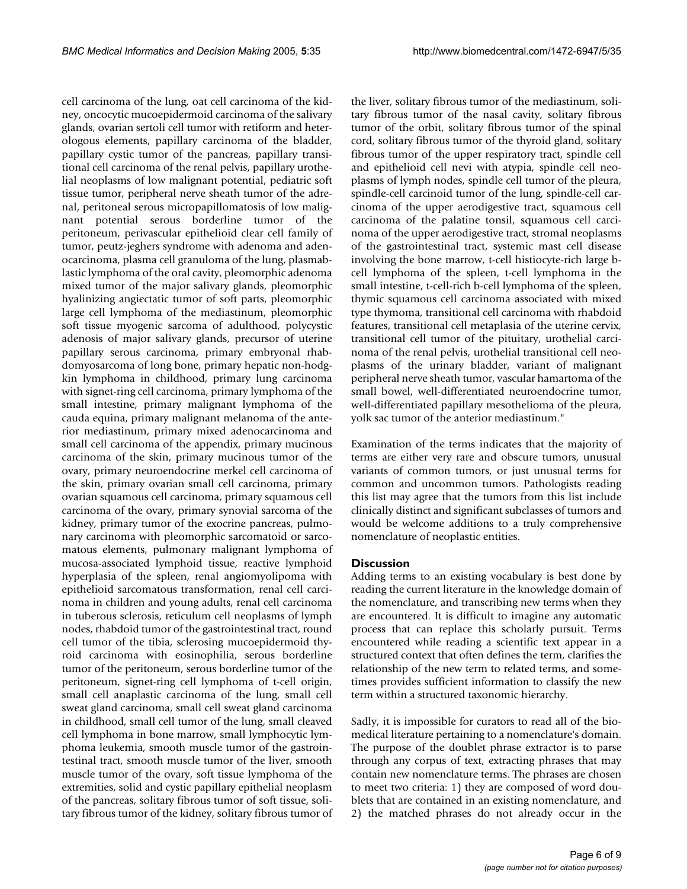cell carcinoma of the lung, oat cell carcinoma of the kidney, oncocytic mucoepidermoid carcinoma of the salivary glands, ovarian sertoli cell tumor with retiform and heterologous elements, papillary carcinoma of the bladder, papillary cystic tumor of the pancreas, papillary transitional cell carcinoma of the renal pelvis, papillary urothelial neoplasms of low malignant potential, pediatric soft tissue tumor, peripheral nerve sheath tumor of the adrenal, peritoneal serous micropapillomatosis of low malignant potential serous borderline tumor of the peritoneum, perivascular epithelioid clear cell family of tumor, peutz-jeghers syndrome with adenoma and adenocarcinoma, plasma cell granuloma of the lung, plasmablastic lymphoma of the oral cavity, pleomorphic adenoma mixed tumor of the major salivary glands, pleomorphic hyalinizing angiectatic tumor of soft parts, pleomorphic large cell lymphoma of the mediastinum, pleomorphic soft tissue myogenic sarcoma of adulthood, polycystic adenosis of major salivary glands, precursor of uterine papillary serous carcinoma, primary embryonal rhabdomyosarcoma of long bone, primary hepatic non-hodgkin lymphoma in childhood, primary lung carcinoma with signet-ring cell carcinoma, primary lymphoma of the small intestine, primary malignant lymphoma of the cauda equina, primary malignant melanoma of the anterior mediastinum, primary mixed adenocarcinoma and small cell carcinoma of the appendix, primary mucinous carcinoma of the skin, primary mucinous tumor of the ovary, primary neuroendocrine merkel cell carcinoma of the skin, primary ovarian small cell carcinoma, primary ovarian squamous cell carcinoma, primary squamous cell carcinoma of the ovary, primary synovial sarcoma of the kidney, primary tumor of the exocrine pancreas, pulmonary carcinoma with pleomorphic sarcomatoid or sarcomatous elements, pulmonary malignant lymphoma of mucosa-associated lymphoid tissue, reactive lymphoid hyperplasia of the spleen, renal angiomyolipoma with epithelioid sarcomatous transformation, renal cell carcinoma in children and young adults, renal cell carcinoma in tuberous sclerosis, reticulum cell neoplasms of lymph nodes, rhabdoid tumor of the gastrointestinal tract, round cell tumor of the tibia, sclerosing mucoepidermoid thyroid carcinoma with eosinophilia, serous borderline tumor of the peritoneum, serous borderline tumor of the peritoneum, signet-ring cell lymphoma of t-cell origin, small cell anaplastic carcinoma of the lung, small cell sweat gland carcinoma, small cell sweat gland carcinoma in childhood, small cell tumor of the lung, small cleaved cell lymphoma in bone marrow, small lymphocytic lymphoma leukemia, smooth muscle tumor of the gastrointestinal tract, smooth muscle tumor of the liver, smooth muscle tumor of the ovary, soft tissue lymphoma of the extremities, solid and cystic papillary epithelial neoplasm of the pancreas, solitary fibrous tumor of soft tissue, solitary fibrous tumor of the kidney, solitary fibrous tumor of the liver, solitary fibrous tumor of the mediastinum, solitary fibrous tumor of the nasal cavity, solitary fibrous tumor of the orbit, solitary fibrous tumor of the spinal cord, solitary fibrous tumor of the thyroid gland, solitary fibrous tumor of the upper respiratory tract, spindle cell and epithelioid cell nevi with atypia, spindle cell neoplasms of lymph nodes, spindle cell tumor of the pleura, spindle-cell carcinoid tumor of the lung, spindle-cell carcinoma of the upper aerodigestive tract, squamous cell carcinoma of the palatine tonsil, squamous cell carcinoma of the upper aerodigestive tract, stromal neoplasms of the gastrointestinal tract, systemic mast cell disease involving the bone marrow, t-cell histiocyte-rich large bcell lymphoma of the spleen, t-cell lymphoma in the small intestine, t-cell-rich b-cell lymphoma of the spleen, thymic squamous cell carcinoma associated with mixed type thymoma, transitional cell carcinoma with rhabdoid features, transitional cell metaplasia of the uterine cervix, transitional cell tumor of the pituitary, urothelial carcinoma of the renal pelvis, urothelial transitional cell neoplasms of the urinary bladder, variant of malignant peripheral nerve sheath tumor, vascular hamartoma of the small bowel, well-differentiated neuroendocrine tumor, well-differentiated papillary mesothelioma of the pleura, yolk sac tumor of the anterior mediastinum."

Examination of the terms indicates that the majority of terms are either very rare and obscure tumors, unusual variants of common tumors, or just unusual terms for common and uncommon tumors. Pathologists reading this list may agree that the tumors from this list include clinically distinct and significant subclasses of tumors and would be welcome additions to a truly comprehensive nomenclature of neoplastic entities.

#### **Discussion**

Adding terms to an existing vocabulary is best done by reading the current literature in the knowledge domain of the nomenclature, and transcribing new terms when they are encountered. It is difficult to imagine any automatic process that can replace this scholarly pursuit. Terms encountered while reading a scientific text appear in a structured context that often defines the term, clarifies the relationship of the new term to related terms, and sometimes provides sufficient information to classify the new term within a structured taxonomic hierarchy.

Sadly, it is impossible for curators to read all of the biomedical literature pertaining to a nomenclature's domain. The purpose of the doublet phrase extractor is to parse through any corpus of text, extracting phrases that may contain new nomenclature terms. The phrases are chosen to meet two criteria: 1) they are composed of word doublets that are contained in an existing nomenclature, and 2) the matched phrases do not already occur in the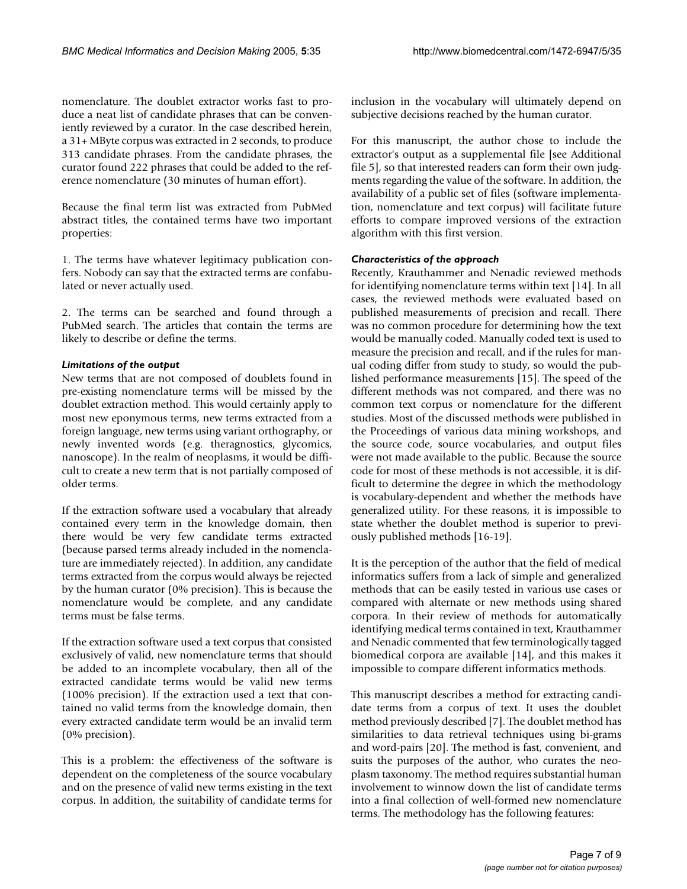nomenclature. The doublet extractor works fast to produce a neat list of candidate phrases that can be conveniently reviewed by a curator. In the case described herein, a 31+ MByte corpus was extracted in 2 seconds, to produce 313 candidate phrases. From the candidate phrases, the curator found 222 phrases that could be added to the reference nomenclature (30 minutes of human effort).

Because the final term list was extracted from PubMed abstract titles, the contained terms have two important properties:

1. The terms have whatever legitimacy publication confers. Nobody can say that the extracted terms are confabulated or never actually used.

2. The terms can be searched and found through a PubMed search. The articles that contain the terms are likely to describe or define the terms.

#### *Limitations of the output*

New terms that are not composed of doublets found in pre-existing nomenclature terms will be missed by the doublet extraction method. This would certainly apply to most new eponymous terms, new terms extracted from a foreign language, new terms using variant orthography, or newly invented words (e.g. theragnostics, glycomics, nanoscope). In the realm of neoplasms, it would be difficult to create a new term that is not partially composed of older terms.

If the extraction software used a vocabulary that already contained every term in the knowledge domain, then there would be very few candidate terms extracted (because parsed terms already included in the nomenclature are immediately rejected). In addition, any candidate terms extracted from the corpus would always be rejected by the human curator (0% precision). This is because the nomenclature would be complete, and any candidate terms must be false terms.

If the extraction software used a text corpus that consisted exclusively of valid, new nomenclature terms that should be added to an incomplete vocabulary, then all of the extracted candidate terms would be valid new terms (100% precision). If the extraction used a text that contained no valid terms from the knowledge domain, then every extracted candidate term would be an invalid term (0% precision).

This is a problem: the effectiveness of the software is dependent on the completeness of the source vocabulary and on the presence of valid new terms existing in the text corpus. In addition, the suitability of candidate terms for inclusion in the vocabulary will ultimately depend on subjective decisions reached by the human curator.

For this manuscript, the author chose to include the extractor's output as a supplemental file [see Additional file 5], so that interested readers can form their own judgments regarding the value of the software. In addition, the availability of a public set of files (software implementation, nomenclature and text corpus) will facilitate future efforts to compare improved versions of the extraction algorithm with this first version.

#### *Characteristics of the approach*

Recently, Krauthammer and Nenadic reviewed methods for identifying nomenclature terms within text [14]. In all cases, the reviewed methods were evaluated based on published measurements of precision and recall. There was no common procedure for determining how the text would be manually coded. Manually coded text is used to measure the precision and recall, and if the rules for manual coding differ from study to study, so would the published performance measurements [15]. The speed of the different methods was not compared, and there was no common text corpus or nomenclature for the different studies. Most of the discussed methods were published in the Proceedings of various data mining workshops, and the source code, source vocabularies, and output files were not made available to the public. Because the source code for most of these methods is not accessible, it is difficult to determine the degree in which the methodology is vocabulary-dependent and whether the methods have generalized utility. For these reasons, it is impossible to state whether the doublet method is superior to previously published methods [16-19].

It is the perception of the author that the field of medical informatics suffers from a lack of simple and generalized methods that can be easily tested in various use cases or compared with alternate or new methods using shared corpora. In their review of methods for automatically identifying medical terms contained in text, Krauthammer and Nenadic commented that few terminologically tagged biomedical corpora are available [14], and this makes it impossible to compare different informatics methods.

This manuscript describes a method for extracting candidate terms from a corpus of text. It uses the doublet method previously described [7]. The doublet method has similarities to data retrieval techniques using bi-grams and word-pairs [20]. The method is fast, convenient, and suits the purposes of the author, who curates the neoplasm taxonomy. The method requires substantial human involvement to winnow down the list of candidate terms into a final collection of well-formed new nomenclature terms. The methodology has the following features: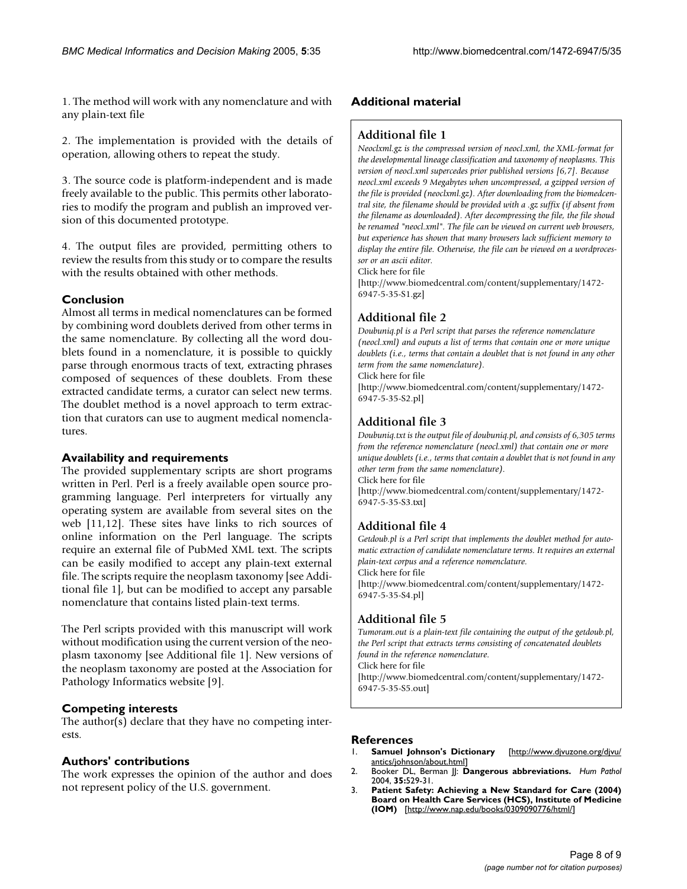1. The method will work with any nomenclature and with any plain-text file

2. The implementation is provided with the details of operation, allowing others to repeat the study.

3. The source code is platform-independent and is made freely available to the public. This permits other laboratories to modify the program and publish an improved version of this documented prototype.

4. The output files are provided, permitting others to review the results from this study or to compare the results with the results obtained with other methods.

## **Conclusion**

Almost all terms in medical nomenclatures can be formed by combining word doublets derived from other terms in the same nomenclature. By collecting all the word doublets found in a nomenclature, it is possible to quickly parse through enormous tracts of text, extracting phrases composed of sequences of these doublets. From these extracted candidate terms, a curator can select new terms. The doublet method is a novel approach to term extraction that curators can use to augment medical nomenclatures.

## **Availability and requirements**

The provided supplementary scripts are short programs written in Perl. Perl is a freely available open source programming language. Perl interpreters for virtually any operating system are available from several sites on the web [11,12]. These sites have links to rich sources of online information on the Perl language. The scripts require an external file of PubMed XML text. The scripts can be easily modified to accept any plain-text external file. The scripts require the neoplasm taxonomy [see Additional file 1], but can be modified to accept any parsable nomenclature that contains listed plain-text terms.

The Perl scripts provided with this manuscript will work without modification using the current version of the neoplasm taxonomy [see Additional file 1]. New versions of the neoplasm taxonomy are posted at the Association for Pathology Informatics website [9].

## **Competing interests**

The author(s) declare that they have no competing interests.

## **Authors' contributions**

The work expresses the opinion of the author and does not represent policy of the U.S. government.

## **Additional material**

## **Additional file 1**

*Neoclxml.gz is the compressed version of neocl.xml, the XML-format for the developmental lineage classification and taxonomy of neoplasms. This version of neocl.xml supercedes prior published versions [6,7]. Because neocl.xml exceeds 9 Megabytes when uncompressed, a gzipped version of the file is provided (neoclxml.gz). After downloading from the biomedcentral site, the filename should be provided with a .gz suffix (if absent from the filename as downloaded). After decompressing the file, the file shoud be renamed "neocl.xml". The file can be viewed on current web browsers, but experience has shown that many browsers lack sufficient memory to display the entire file. Otherwise, the file can be viewed on a wordprocessor or an ascii editor.*

Click here for file

[\[http://www.biomedcentral.com/content/supplementary/1472-](http://www.biomedcentral.com/content/supplementary/1472-6947-5-35-S1.gz) 6947-5-35-S1.gz]

## **Additional file 2**

*Doubuniq.pl is a Perl script that parses the reference nomenclature (neocl.xml) and ouputs a list of terms that contain one or more unique doublets (i.e., terms that contain a doublet that is not found in any other term from the same nomenclature).*

Click here for file

[\[http://www.biomedcentral.com/content/supplementary/1472-](http://www.biomedcentral.com/content/supplementary/1472-6947-5-35-S2.pl) 6947-5-35-S2.pl]

## **Additional file 3**

*Doubuniq.txt is the output file of doubuniq.pl, and consists of 6,305 terms from the reference nomenclature (neocl.xml) that contain one or more unique doublets (i.e., terms that contain a doublet that is not found in any other term from the same nomenclature).* Click here for file [\[http://www.biomedcentral.com/content/supplementary/1472-](http://www.biomedcentral.com/content/supplementary/1472-6947-5-35-S3.txt) 6947-5-35-S3.txt]

## **Additional file 4**

*Getdoub.pl is a Perl script that implements the doublet method for automatic extraction of candidate nomenclature terms. It requires an external plain-text corpus and a reference nomenclature.* Click here for file [\[http://www.biomedcentral.com/content/supplementary/1472-](http://www.biomedcentral.com/content/supplementary/1472-6947-5-35-S4.pl) 6947-5-35-S4.pl]

## **Additional file 5**

*Tumoram.out is a plain-text file containing the output of the getdoub.pl, the Perl script that extracts terms consisting of concatenated doublets found in the reference nomenclature.* Click here for file [\[http://www.biomedcentral.com/content/supplementary/1472-](http://www.biomedcentral.com/content/supplementary/1472-6947-5-35-S5.out) 6947-5-35-S5.out]

#### **References**

- Samuel Johnson's Dictionary [\[http://www.djvuzone.org/djvu/](http://www.djvuzone.org/djvu/antics/johnson/about.html) [antics/johnson/about.html](http://www.djvuzone.org/djvu/antics/johnson/about.html)]
- 2. Booker DL, Berman JJ: **[Dangerous abbreviations.](http://www.ncbi.nlm.nih.gov/entrez/query.fcgi?cmd=Retrieve&db=PubMed&dopt=Abstract&list_uids=15138924)** *Hum Pathol* 2004, **35:**529-31.
- 3. **Patient Safety: Achieving a New Standard for Care (2004) Board on Health Care Services (HCS), Institute of Medicine (IOM)** [\[http://www.nap.edu/books/0309090776/html/](http://www.nap.edu/books/0309090776/html/)]